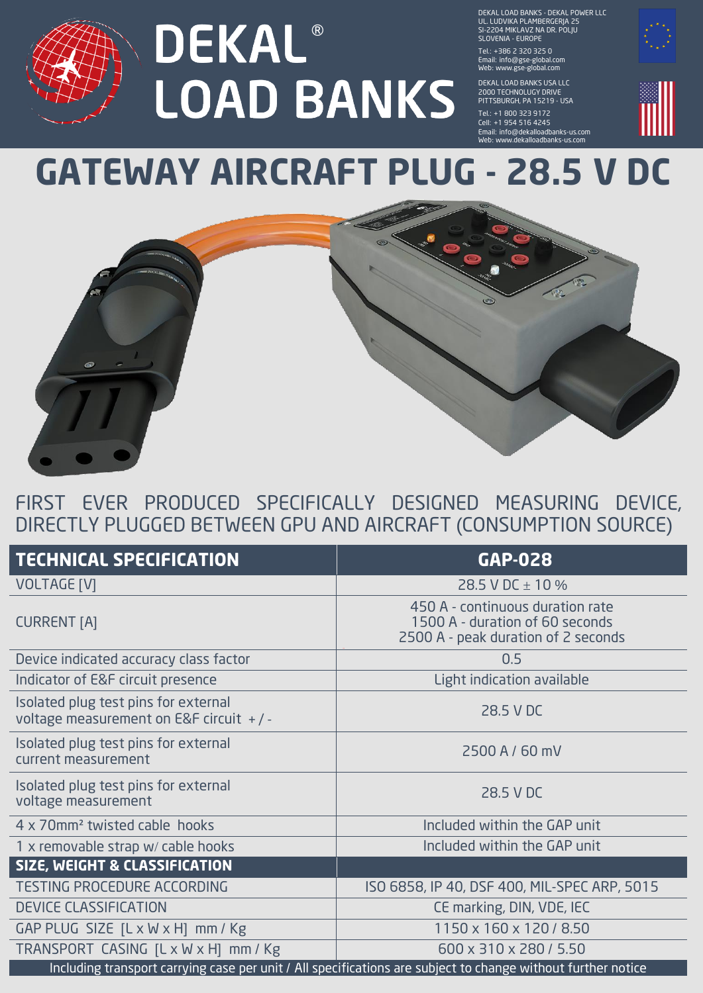## **DEKAL® LOAD BANKS**

DEKAL LOAD BANKS - DEKAL POWER LLC UL. LUDVIKA PLAMBERGERJA 25 SI-2204 MIKLAVZ NA DR. POLJU SLOVENIA - EUROPE

Tel.: + 386 2 320 325 0 Email: info@gse-global.com Web: www.gse-global.com

DEKAL LOAD BANKS USA LLC 2000 TECHNOLUGY DRIVE PITTSBURGH, PA 15219 - USA

Tel.: +1 800 323 9172 Cell: + 1 954 516 4245 Email: info@dekalloadbanks-us.com Web: www.dekalloadbanks-us.com



## **GATEWAY AIRCRAFT PLUG - 28.5 V DC**



## FIRST EVER PRODUCED SPECIFICALLY DESIGNED MEASURING DEVICE, DIRECTLY PLUGGED BETWEEN GPU AND AIRCRAFT (CONSUMPTION SOURCE)

| <b>TECHNICAL SPECIFICATION</b>                                                                               | <b>GAP-028</b>                                                                                             |
|--------------------------------------------------------------------------------------------------------------|------------------------------------------------------------------------------------------------------------|
| <b>VOLTAGE [V]</b>                                                                                           | 28.5 V DC $\pm$ 10 %                                                                                       |
| <b>CURRENT [A]</b>                                                                                           | 450 A - continuous duration rate<br>1500 A - duration of 60 seconds<br>2500 A - peak duration of 2 seconds |
| Device indicated accuracy class factor                                                                       | 0.5                                                                                                        |
| Indicator of E&F circuit presence                                                                            | Light indication available                                                                                 |
| Isolated plug test pins for external<br>voltage measurement on E&F circuit $+/-$                             | 28.5 V DC                                                                                                  |
| Isolated plug test pins for external<br>current measurement                                                  | 2500 A / 60 mV                                                                                             |
| Isolated plug test pins for external<br>voltage measurement                                                  | 28.5 V DC                                                                                                  |
| 4 x 70mm <sup>2</sup> twisted cable hooks                                                                    | Included within the GAP unit                                                                               |
| 1 x removable strap w/ cable hooks                                                                           | Included within the GAP unit                                                                               |
| <b>SIZE, WEIGHT &amp; CLASSIFICATION</b>                                                                     |                                                                                                            |
| <b>TESTING PROCEDURE ACCORDING</b>                                                                           | ISO 6858, IP 40, DSF 400, MIL-SPEC ARP, 5015                                                               |
| <b>DEVICE CLASSIFICATION</b>                                                                                 | CE marking, DIN, VDE, IEC                                                                                  |
| GAP PLUG SIZE $[L \times W \times H]$ mm / Kg                                                                | 1150 x 160 x 120 / 8.50                                                                                    |
| TRANSPORT CASING [L x W x H] mm / Kg                                                                         | 600 x 310 x 280 / 5.50                                                                                     |
| Including transport carrying case per unit / All specifications are subject to change without further notice |                                                                                                            |